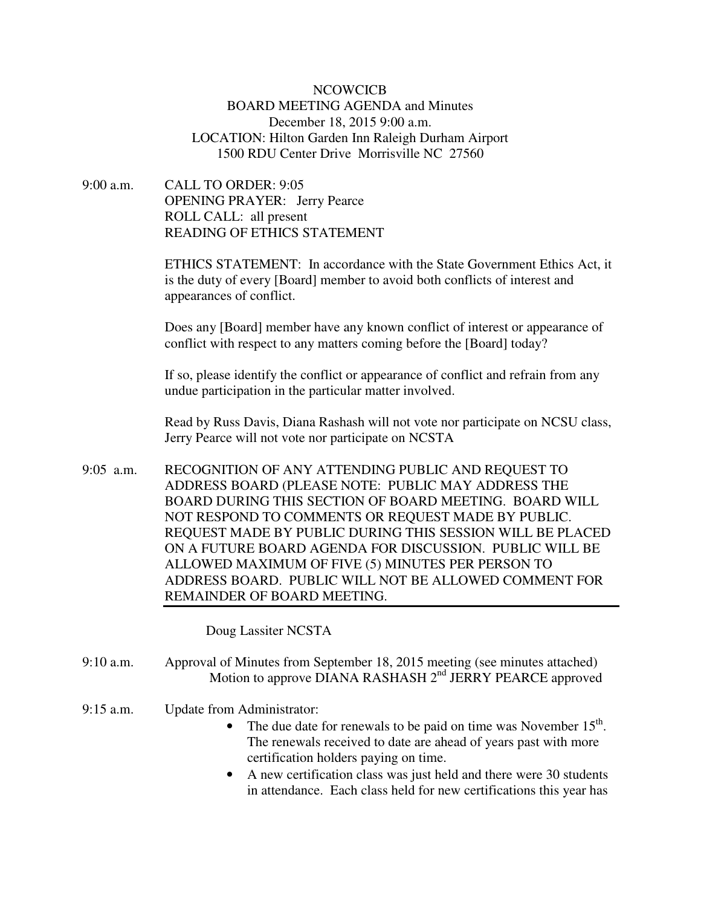## **NCOWCICB** BOARD MEETING AGENDA and Minutes December 18, 2015 9:00 a.m. LOCATION: Hilton Garden Inn Raleigh Durham Airport 1500 RDU Center Drive Morrisville NC 27560

9:00 a.m. CALL TO ORDER: 9:05 OPENING PRAYER: Jerry Pearce ROLL CALL: all present READING OF ETHICS STATEMENT

> ETHICS STATEMENT: In accordance with the State Government Ethics Act, it is the duty of every [Board] member to avoid both conflicts of interest and appearances of conflict.

Does any [Board] member have any known conflict of interest or appearance of conflict with respect to any matters coming before the [Board] today?

If so, please identify the conflict or appearance of conflict and refrain from any undue participation in the particular matter involved.

Read by Russ Davis, Diana Rashash will not vote nor participate on NCSU class, Jerry Pearce will not vote nor participate on NCSTA

9:05 a.m. RECOGNITION OF ANY ATTENDING PUBLIC AND REQUEST TO ADDRESS BOARD (PLEASE NOTE: PUBLIC MAY ADDRESS THE BOARD DURING THIS SECTION OF BOARD MEETING. BOARD WILL NOT RESPOND TO COMMENTS OR REQUEST MADE BY PUBLIC. REQUEST MADE BY PUBLIC DURING THIS SESSION WILL BE PLACED ON A FUTURE BOARD AGENDA FOR DISCUSSION. PUBLIC WILL BE ALLOWED MAXIMUM OF FIVE (5) MINUTES PER PERSON TO ADDRESS BOARD. PUBLIC WILL NOT BE ALLOWED COMMENT FOR REMAINDER OF BOARD MEETING.

Doug Lassiter NCSTA

- 9:10 a.m. Approval of Minutes from September 18, 2015 meeting (see minutes attached) Motion to approve DIANA RASHASH 2<sup>nd</sup> JERRY PEARCE approved
- 9:15 a.m. Update from Administrator:
	- The due date for renewals to be paid on time was November  $15<sup>th</sup>$ . The renewals received to date are ahead of years past with more certification holders paying on time.
	- A new certification class was just held and there were 30 students in attendance. Each class held for new certifications this year has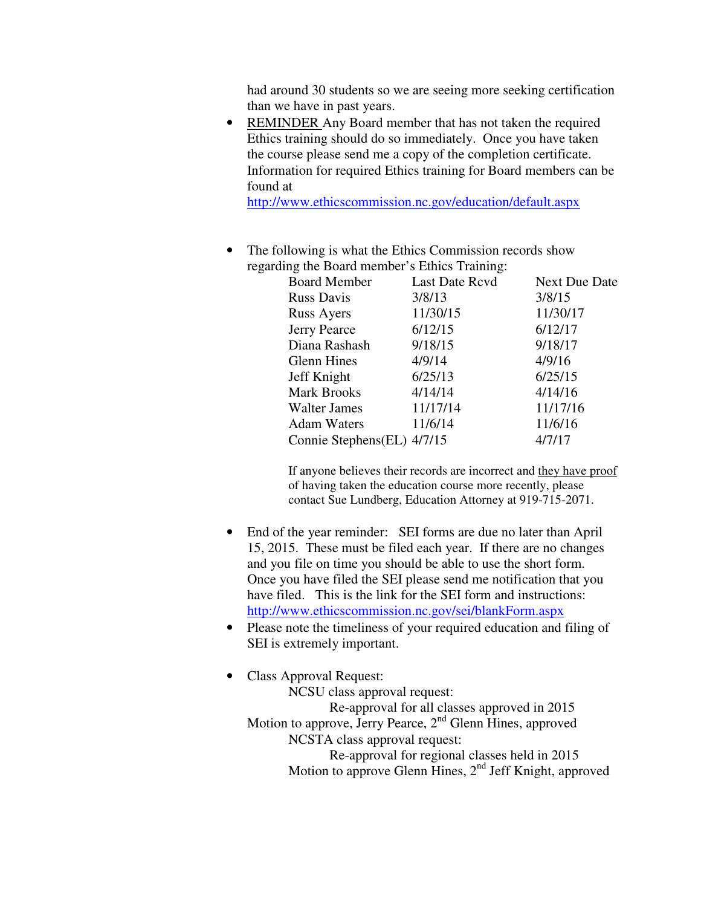had around 30 students so we are seeing more seeking certification than we have in past years.

• REMINDER Any Board member that has not taken the required Ethics training should do so immediately. Once you have taken the course please send me a copy of the completion certificate. Information for required Ethics training for Board members can be found at

http://www.ethicscommission.nc.gov/education/default.aspx

• The following is what the Ethics Commission records show regarding the Board member's Ethics Training:

| <b>Board Member</b>         | <b>Last Date Rcvd</b> | <b>Next Due Date</b> |
|-----------------------------|-----------------------|----------------------|
| <b>Russ Davis</b>           | 3/8/13                | 3/8/15               |
| <b>Russ Ayers</b>           | 11/30/15              | 11/30/17             |
| Jerry Pearce                | 6/12/15               | 6/12/17              |
| Diana Rashash               | 9/18/15               | 9/18/17              |
| <b>Glenn Hines</b>          | 4/9/14                | 4/9/16               |
| Jeff Knight                 | 6/25/13               | 6/25/15              |
| <b>Mark Brooks</b>          | 4/14/14               | 4/14/16              |
| <b>Walter James</b>         | 11/17/14              | 11/17/16             |
| <b>Adam Waters</b>          | 11/6/14               | 11/6/16              |
| Connie Stephens (EL) 4/7/15 |                       | 4/7/17               |
|                             |                       |                      |

If anyone believes their records are incorrect and they have proof of having taken the education course more recently, please contact Sue Lundberg, Education Attorney at 919-715-2071.

- End of the year reminder: SEI forms are due no later than April 15, 2015. These must be filed each year. If there are no changes and you file on time you should be able to use the short form. Once you have filed the SEI please send me notification that you have filed. This is the link for the SEI form and instructions: http://www.ethicscommission.nc.gov/sei/blankForm.aspx
- Please note the timeliness of your required education and filing of SEI is extremely important.
- Class Approval Request:

NCSU class approval request: Re-approval for all classes approved in 2015 Motion to approve, Jerry Pearce, 2<sup>nd</sup> Glenn Hines, approved NCSTA class approval request: Re-approval for regional classes held in 2015 Motion to approve Glenn Hines,  $2<sup>nd</sup>$  Jeff Knight, approved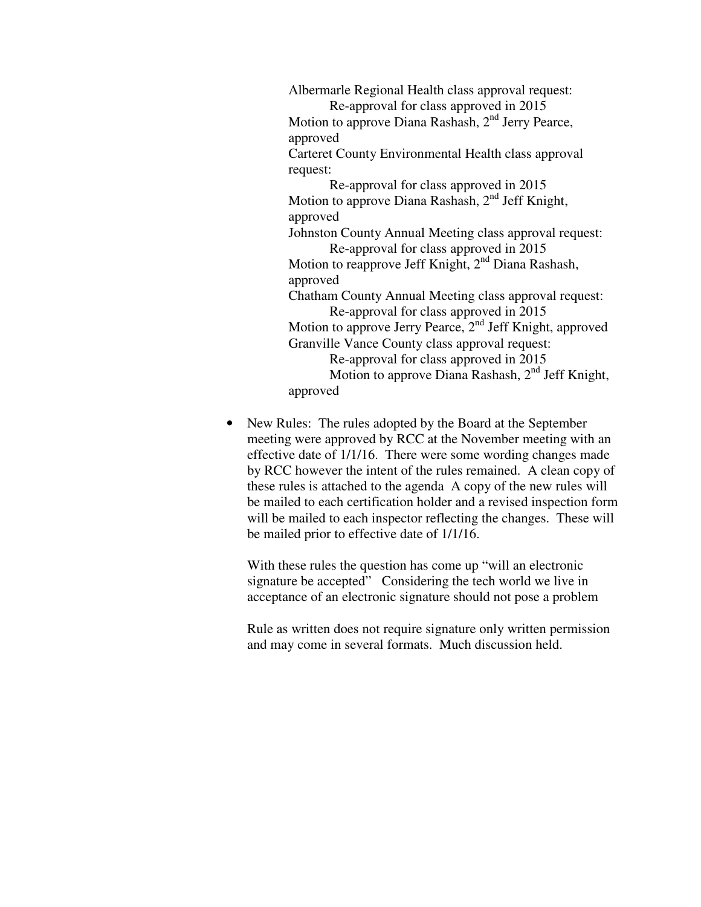Albermarle Regional Health class approval request: Re-approval for class approved in 2015 Motion to approve Diana Rashash, 2<sup>nd</sup> Jerry Pearce, approved Carteret County Environmental Health class approval request: Re-approval for class approved in 2015 Motion to approve Diana Rashash, 2<sup>nd</sup> Jeff Knight, approved Johnston County Annual Meeting class approval request: Re-approval for class approved in 2015 Motion to reapprove Jeff Knight,  $2<sup>nd</sup>$  Diana Rashash, approved Chatham County Annual Meeting class approval request: Re-approval for class approved in 2015 Motion to approve Jerry Pearce, 2<sup>nd</sup> Jeff Knight, approved Granville Vance County class approval request: Re-approval for class approved in 2015 Motion to approve Diana Rashash, 2<sup>nd</sup> Jeff Knight, approved

• New Rules: The rules adopted by the Board at the September meeting were approved by RCC at the November meeting with an effective date of 1/1/16. There were some wording changes made by RCC however the intent of the rules remained. A clean copy of these rules is attached to the agenda A copy of the new rules will be mailed to each certification holder and a revised inspection form will be mailed to each inspector reflecting the changes. These will be mailed prior to effective date of 1/1/16.

With these rules the question has come up "will an electronic signature be accepted" Considering the tech world we live in acceptance of an electronic signature should not pose a problem

Rule as written does not require signature only written permission and may come in several formats. Much discussion held.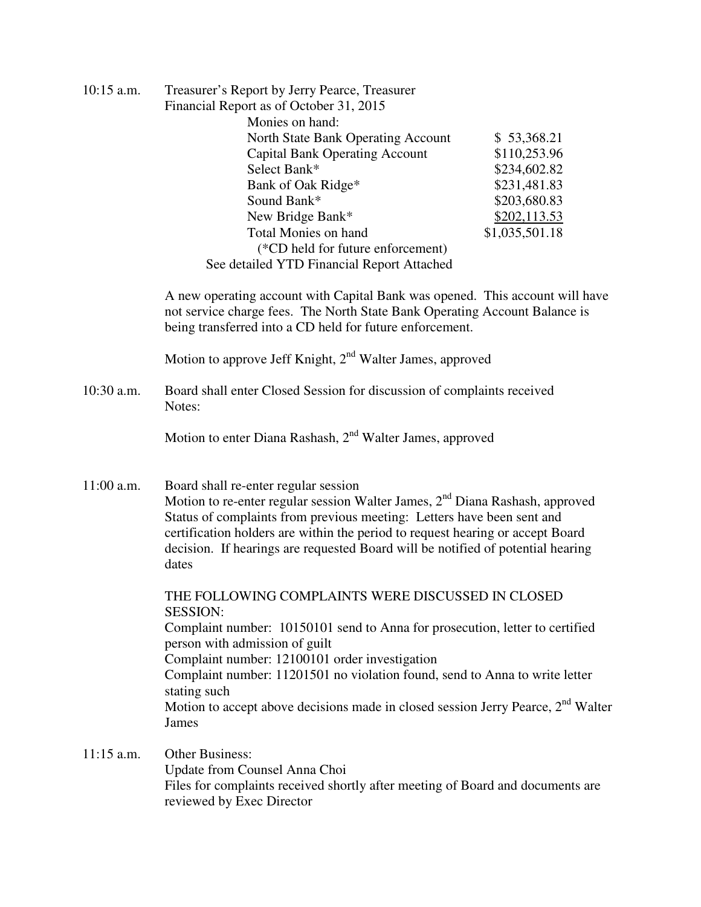| $10:15$ a.m. | Treasurer's Report by Jerry Pearce, Treasurer                                                                                                                                                                          |                |  |  |
|--------------|------------------------------------------------------------------------------------------------------------------------------------------------------------------------------------------------------------------------|----------------|--|--|
|              | Financial Report as of October 31, 2015                                                                                                                                                                                |                |  |  |
|              | Monies on hand:                                                                                                                                                                                                        |                |  |  |
|              | North State Bank Operating Account                                                                                                                                                                                     | \$53,368.21    |  |  |
|              | <b>Capital Bank Operating Account</b>                                                                                                                                                                                  | \$110,253.96   |  |  |
|              | Select Bank*                                                                                                                                                                                                           | \$234,602.82   |  |  |
|              | Bank of Oak Ridge*                                                                                                                                                                                                     | \$231,481.83   |  |  |
|              | Sound Bank*                                                                                                                                                                                                            | \$203,680.83   |  |  |
|              | New Bridge Bank*                                                                                                                                                                                                       | \$202,113.53   |  |  |
|              | <b>Total Monies on hand</b>                                                                                                                                                                                            | \$1,035,501.18 |  |  |
|              | (*CD held for future enforcement)                                                                                                                                                                                      |                |  |  |
|              | See detailed YTD Financial Report Attached                                                                                                                                                                             |                |  |  |
|              | A new operating account with Capital Bank was opened. This account will have<br>not service charge fees. The North State Bank Operating Account Balance is<br>being transferred into a CD held for future enforcement. |                |  |  |
|              | Motion to approve Jeff Knight, 2 <sup>nd</sup> Walter James, approved                                                                                                                                                  |                |  |  |
| $10:30$ a.m. | Board shall enter Closed Session for discussion of complaints received<br>Notes:                                                                                                                                       |                |  |  |
|              | Motion to enter Diana Rashash, 2 <sup>nd</sup> Walter James, approved                                                                                                                                                  |                |  |  |

11:00 a.m. Board shall re-enter regular session Motion to re-enter regular session Walter James,  $2<sup>nd</sup>$  Diana Rashash, approved Status of complaints from previous meeting: Letters have been sent and certification holders are within the period to request hearing or accept Board decision. If hearings are requested Board will be notified of potential hearing dates

 THE FOLLOWING COMPLAINTS WERE DISCUSSED IN CLOSED SESSION: Complaint number: 10150101 send to Anna for prosecution, letter to certified person with admission of guilt Complaint number: 12100101 order investigation Complaint number: 11201501 no violation found, send to Anna to write letter stating such Motion to accept above decisions made in closed session Jerry Pearce,  $2<sup>nd</sup>$  Walter James

11:15 a.m. Other Business: Update from Counsel Anna Choi Files for complaints received shortly after meeting of Board and documents are reviewed by Exec Director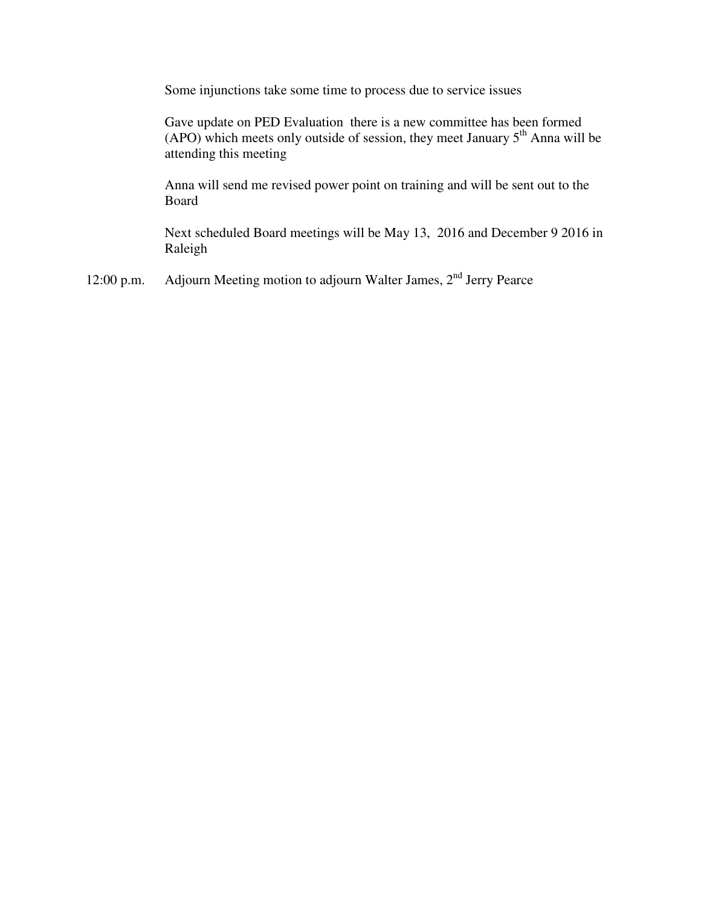Some injunctions take some time to process due to service issues

Gave update on PED Evaluation there is a new committee has been formed (APO) which meets only outside of session, they meet January  $5<sup>th</sup>$  Anna will be attending this meeting

Anna will send me revised power point on training and will be sent out to the Board

Next scheduled Board meetings will be May 13, 2016 and December 9 2016 in Raleigh

12:00 p.m. Adjourn Meeting motion to adjourn Walter James, 2<sup>nd</sup> Jerry Pearce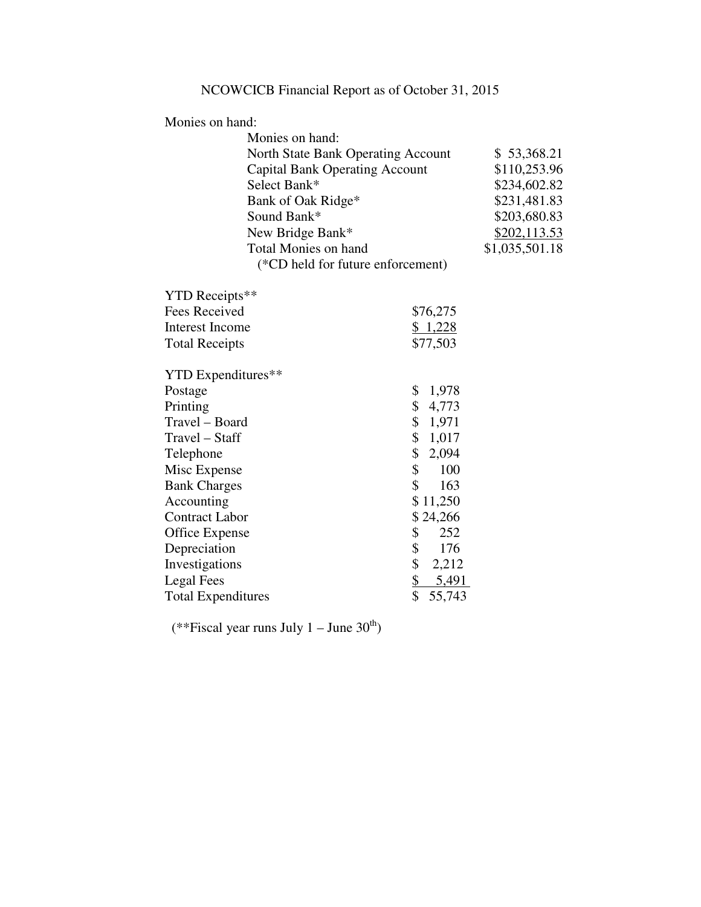Monies on hand:

| \$53,368.21    |
|----------------|
| \$110,253.96   |
| \$234,602.82   |
| \$231,481.83   |
| \$203,680.83   |
| \$202,113.53   |
| \$1,035,501.18 |
|                |
|                |

| YTD Receipts**            |                    |
|---------------------------|--------------------|
| Fees Received             | \$76,275           |
| Interest Income           | \$1,228            |
| <b>Total Receipts</b>     | \$77,503           |
| YTD Expenditures**        |                    |
| Postage                   | \$<br>1,978        |
| Printing                  | \$<br>4,773        |
| Travel - Board            | \$<br>1,971        |
| Travel – Staff            | 1,017<br>\$        |
| Telephone                 | \$<br>2,094        |
| Misc Expense              | \$<br>100          |
| <b>Bank Charges</b>       | \$<br>163          |
| Accounting                | \$11,250           |
| <b>Contract Labor</b>     | \$24,266           |
| Office Expense            | 252<br>\$          |
| Depreciation              | \$<br>176          |
| Investigations            | \$<br>2,212        |
| Legal Fees                | <u>\$</u><br>5,491 |
| <b>Total Expenditures</b> | \$<br>55,743       |
|                           |                    |

(\*\*Fiscal year runs July  $1 -$  June  $30<sup>th</sup>$ )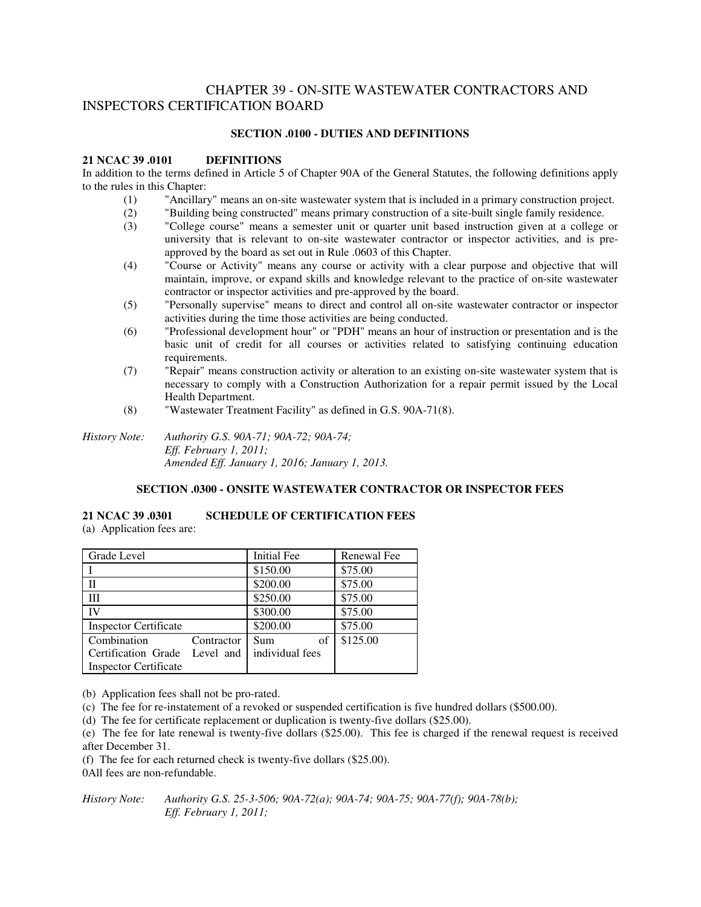# CHAPTER 39 - ON-SITE WASTEWATER CONTRACTORS AND INSPECTORS CERTIFICATION BOARD

## **SECTION .0100 - DUTIES AND DEFINITIONS**

#### **21 NCAC 39 .0101 DEFINITIONS**

In addition to the terms defined in Article 5 of Chapter 90A of the General Statutes, the following definitions apply to the rules in this Chapter:

- (1) "Ancillary" means an on-site wastewater system that is included in a primary construction project.
- (2) "Building being constructed" means primary construction of a site-built single family residence.
- (3) "College course" means a semester unit or quarter unit based instruction given at a college or university that is relevant to on-site wastewater contractor or inspector activities, and is preapproved by the board as set out in Rule .0603 of this Chapter.
- (4) "Course or Activity" means any course or activity with a clear purpose and objective that will maintain, improve, or expand skills and knowledge relevant to the practice of on-site wastewater contractor or inspector activities and pre-approved by the board.
- (5) "Personally supervise" means to direct and control all on-site wastewater contractor or inspector activities during the time those activities are being conducted.
- (6) "Professional development hour" or "PDH" means an hour of instruction or presentation and is the basic unit of credit for all courses or activities related to satisfying continuing education requirements.
- (7) "Repair" means construction activity or alteration to an existing on-site wastewater system that is necessary to comply with a Construction Authorization for a repair permit issued by the Local Health Department.
- (8) "Wastewater Treatment Facility" as defined in G.S. 90A-71(8).

*History Note: Authority G.S. 90A-71; 90A-72; 90A-74; Eff. February 1, 2011; Amended Eff. January 1, 2016; January 1, 2013.* 

#### **SECTION .0300 - ONSITE WASTEWATER CONTRACTOR OR INSPECTOR FEES**

## **21 NCAC 39 .0301 SCHEDULE OF CERTIFICATION FEES**

(a) Application fees are:

| Grade Level                   |            | <b>Initial Fee</b> | Renewal Fee |
|-------------------------------|------------|--------------------|-------------|
|                               |            | \$150.00           | \$75.00     |
|                               |            | \$200.00           | \$75.00     |
| Ш                             |            | \$250.00           | \$75.00     |
| <b>IV</b>                     |            | \$300.00           | \$75.00     |
| <b>Inspector Certificate</b>  |            | \$200.00           | \$75.00     |
| Combination                   | Contractor | of<br>Sum          | \$125.00    |
| Certification Grade Level and |            | individual fees    |             |
| <b>Inspector Certificate</b>  |            |                    |             |

(b) Application fees shall not be pro-rated.

(c) The fee for re-instatement of a revoked or suspended certification is five hundred dollars (\$500.00).

(d) The fee for certificate replacement or duplication is twenty-five dollars (\$25.00).

(e) The fee for late renewal is twenty-five dollars (\$25.00). This fee is charged if the renewal request is received after December 31.

(f) The fee for each returned check is twenty-five dollars (\$25.00).

0All fees are non-refundable.

*History Note: Authority G.S. 25-3-506; 90A-72(a); 90A-74; 90A-75; 90A-77(f); 90A-78(b); Eff. February 1, 2011;*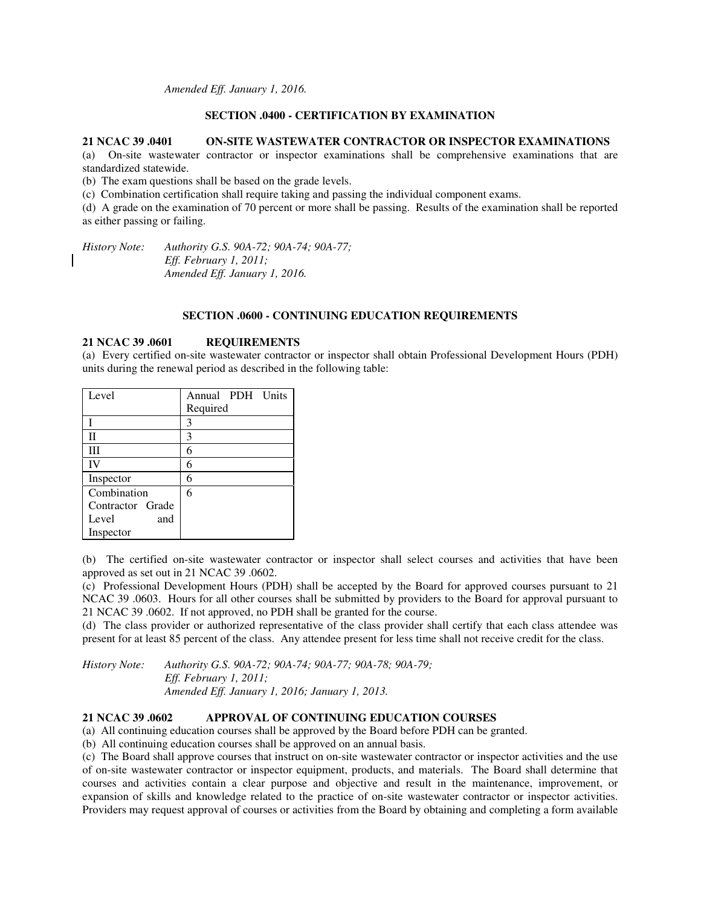*Amended Eff. January 1, 2016.* 

### **SECTION .0400 - CERTIFICATION BY EXAMINATION**

#### **21 NCAC 39 .0401 ON-SITE WASTEWATER CONTRACTOR OR INSPECTOR EXAMINATIONS**

(a) On-site wastewater contractor or inspector examinations shall be comprehensive examinations that are standardized statewide.

(b) The exam questions shall be based on the grade levels.

(c) Combination certification shall require taking and passing the individual component exams.

(d) A grade on the examination of 70 percent or more shall be passing. Results of the examination shall be reported as either passing or failing.

*History Note: Authority G.S. 90A-72; 90A-74; 90A-77; Eff. February 1, 2011; Amended Eff. January 1, 2016.* 

### **SECTION .0600 - CONTINUING EDUCATION REQUIREMENTS**

#### **21 NCAC 39 .0601 REQUIREMENTS**

(a) Every certified on-site wastewater contractor or inspector shall obtain Professional Development Hours (PDH) units during the renewal period as described in the following table:

| Level            | Annual PDH Units |
|------------------|------------------|
|                  | Required         |
|                  | 3                |
| П                | 3                |
| Ш                | 6                |
| IV               | 6                |
| Inspector        | 6                |
| Combination      | 6                |
| Contractor Grade |                  |
| Level<br>and     |                  |
| Inspector        |                  |

(b) The certified on-site wastewater contractor or inspector shall select courses and activities that have been approved as set out in 21 NCAC 39 .0602.

(c) Professional Development Hours (PDH) shall be accepted by the Board for approved courses pursuant to 21 NCAC 39 .0603. Hours for all other courses shall be submitted by providers to the Board for approval pursuant to 21 NCAC 39 .0602. If not approved, no PDH shall be granted for the course.

(d) The class provider or authorized representative of the class provider shall certify that each class attendee was present for at least 85 percent of the class. Any attendee present for less time shall not receive credit for the class.

*History Note: Authority G.S. 90A-72; 90A-74; 90A-77; 90A-78; 90A-79; Eff. February 1, 2011; Amended Eff. January 1, 2016; January 1, 2013.* 

#### **21 NCAC 39 .0602 APPROVAL OF CONTINUING EDUCATION COURSES**

(a) All continuing education courses shall be approved by the Board before PDH can be granted.

(b) All continuing education courses shall be approved on an annual basis.

(c) The Board shall approve courses that instruct on on-site wastewater contractor or inspector activities and the use of on-site wastewater contractor or inspector equipment, products, and materials. The Board shall determine that courses and activities contain a clear purpose and objective and result in the maintenance, improvement, or expansion of skills and knowledge related to the practice of on-site wastewater contractor or inspector activities. Providers may request approval of courses or activities from the Board by obtaining and completing a form available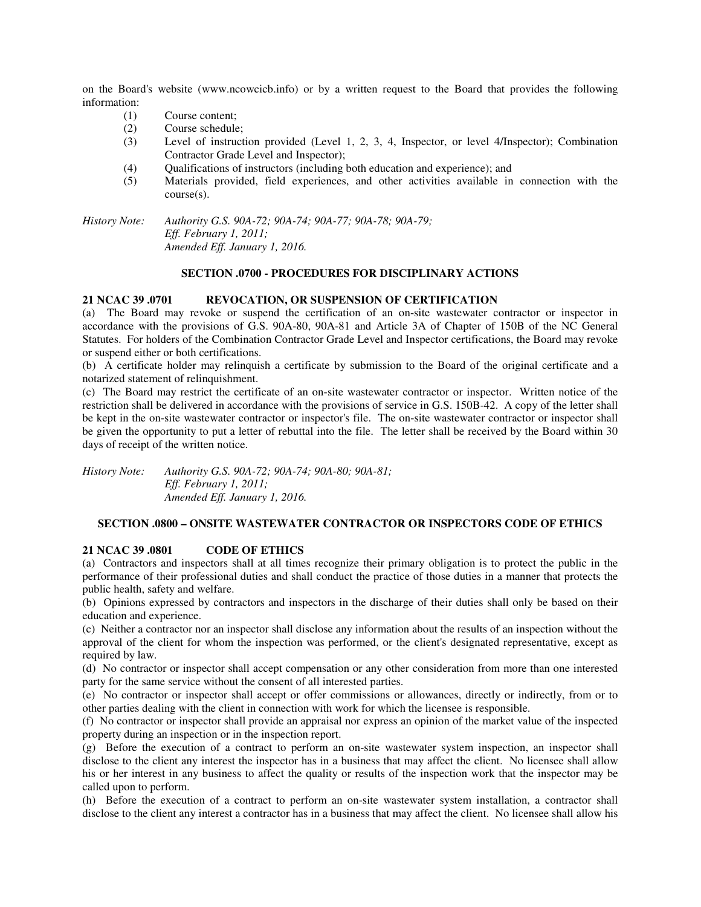on the Board's website (www.ncowcicb.info) or by a written request to the Board that provides the following information:

- (1) Course content;
- (2) Course schedule;
- (3) Level of instruction provided (Level 1, 2, 3, 4, Inspector, or level 4/Inspector); Combination Contractor Grade Level and Inspector);
- (4) Qualifications of instructors (including both education and experience); and
- (5) Materials provided, field experiences, and other activities available in connection with the course(s).

*History Note: Authority G.S. 90A-72; 90A-74; 90A-77; 90A-78; 90A-79; Eff. February 1, 2011; Amended Eff. January 1, 2016.* 

## **SECTION .0700 - PROCEDURES FOR DISCIPLINARY ACTIONS**

## **21 NCAC 39 .0701 REVOCATION, OR SUSPENSION OF CERTIFICATION**

(a) The Board may revoke or suspend the certification of an on-site wastewater contractor or inspector in accordance with the provisions of G.S. 90A-80, 90A-81 and Article 3A of Chapter of 150B of the NC General Statutes. For holders of the Combination Contractor Grade Level and Inspector certifications, the Board may revoke or suspend either or both certifications.

(b) A certificate holder may relinquish a certificate by submission to the Board of the original certificate and a notarized statement of relinquishment.

(c) The Board may restrict the certificate of an on-site wastewater contractor or inspector. Written notice of the restriction shall be delivered in accordance with the provisions of service in G.S. 150B-42. A copy of the letter shall be kept in the on-site wastewater contractor or inspector's file. The on-site wastewater contractor or inspector shall be given the opportunity to put a letter of rebuttal into the file. The letter shall be received by the Board within 30 days of receipt of the written notice.

*History Note: Authority G.S. 90A-72; 90A-74; 90A-80; 90A-81; Eff. February 1, 2011; Amended Eff. January 1, 2016.* 

## **SECTION .0800 – ONSITE WASTEWATER CONTRACTOR OR INSPECTORS CODE OF ETHICS**

#### **21 NCAC 39 .0801 CODE OF ETHICS**

(a) Contractors and inspectors shall at all times recognize their primary obligation is to protect the public in the performance of their professional duties and shall conduct the practice of those duties in a manner that protects the public health, safety and welfare.

(b) Opinions expressed by contractors and inspectors in the discharge of their duties shall only be based on their education and experience.

(c) Neither a contractor nor an inspector shall disclose any information about the results of an inspection without the approval of the client for whom the inspection was performed, or the client's designated representative, except as required by law.

(d) No contractor or inspector shall accept compensation or any other consideration from more than one interested party for the same service without the consent of all interested parties.

(e) No contractor or inspector shall accept or offer commissions or allowances, directly or indirectly, from or to other parties dealing with the client in connection with work for which the licensee is responsible.

(f) No contractor or inspector shall provide an appraisal nor express an opinion of the market value of the inspected property during an inspection or in the inspection report.

(g) Before the execution of a contract to perform an on-site wastewater system inspection, an inspector shall disclose to the client any interest the inspector has in a business that may affect the client. No licensee shall allow his or her interest in any business to affect the quality or results of the inspection work that the inspector may be called upon to perform.

(h) Before the execution of a contract to perform an on-site wastewater system installation, a contractor shall disclose to the client any interest a contractor has in a business that may affect the client. No licensee shall allow his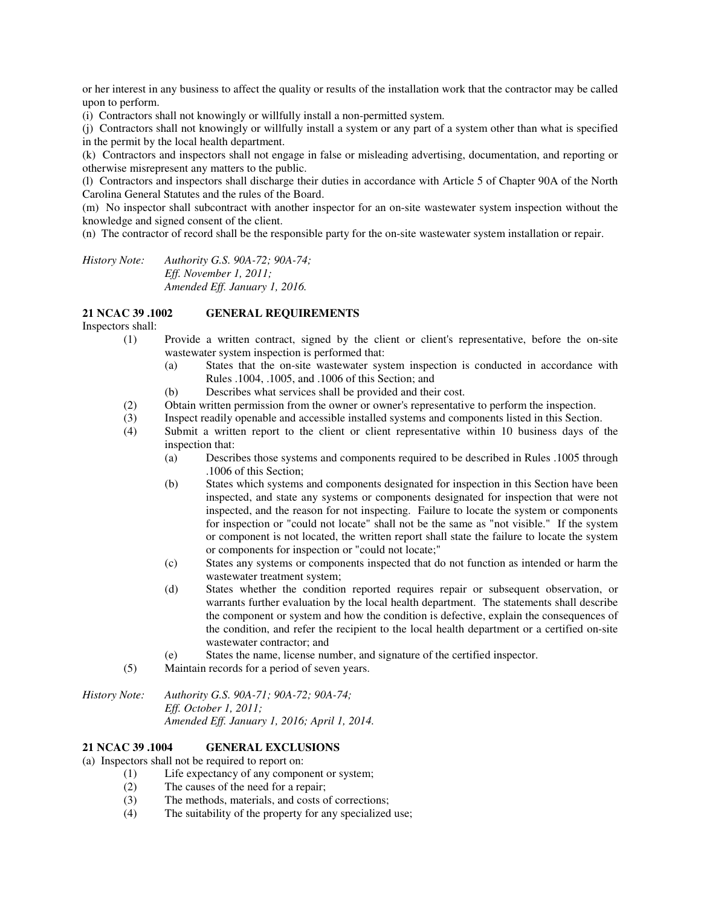or her interest in any business to affect the quality or results of the installation work that the contractor may be called upon to perform.

(i) Contractors shall not knowingly or willfully install a non-permitted system.

(j) Contractors shall not knowingly or willfully install a system or any part of a system other than what is specified in the permit by the local health department.

(k) Contractors and inspectors shall not engage in false or misleading advertising, documentation, and reporting or otherwise misrepresent any matters to the public.

(l) Contractors and inspectors shall discharge their duties in accordance with Article 5 of Chapter 90A of the North Carolina General Statutes and the rules of the Board.

(m) No inspector shall subcontract with another inspector for an on-site wastewater system inspection without the knowledge and signed consent of the client.

(n) The contractor of record shall be the responsible party for the on-site wastewater system installation or repair.

*History Note: Authority G.S. 90A-72; 90A-74; Eff. November 1, 2011; Amended Eff. January 1, 2016.* 

## **21 NCAC 39 .1002 GENERAL REQUIREMENTS**

Inspectors shall:

- (1) Provide a written contract, signed by the client or client's representative, before the on-site wastewater system inspection is performed that:
	- (a) States that the on-site wastewater system inspection is conducted in accordance with Rules .1004, .1005, and .1006 of this Section; and
	- (b) Describes what services shall be provided and their cost.
- (2) Obtain written permission from the owner or owner's representative to perform the inspection.
- (3) Inspect readily openable and accessible installed systems and components listed in this Section.
- (4) Submit a written report to the client or client representative within 10 business days of the inspection that:
	- (a) Describes those systems and components required to be described in Rules .1005 through .1006 of this Section;
	- (b) States which systems and components designated for inspection in this Section have been inspected, and state any systems or components designated for inspection that were not inspected, and the reason for not inspecting. Failure to locate the system or components for inspection or "could not locate" shall not be the same as "not visible." If the system or component is not located, the written report shall state the failure to locate the system or components for inspection or "could not locate;"
	- (c) States any systems or components inspected that do not function as intended or harm the wastewater treatment system;
	- (d) States whether the condition reported requires repair or subsequent observation, or warrants further evaluation by the local health department. The statements shall describe the component or system and how the condition is defective, explain the consequences of the condition, and refer the recipient to the local health department or a certified on-site wastewater contractor; and
	- (e) States the name, license number, and signature of the certified inspector.
- (5) Maintain records for a period of seven years.

*History Note: Authority G.S. 90A-71; 90A-72; 90A-74; Eff. October 1, 2011; Amended Eff. January 1, 2016; April 1, 2014.* 

#### **21 NCAC 39 .1004 GENERAL EXCLUSIONS**

(a) Inspectors shall not be required to report on:

- (1) Life expectancy of any component or system;
- (2) The causes of the need for a repair;
- (3) The methods, materials, and costs of corrections;
- (4) The suitability of the property for any specialized use;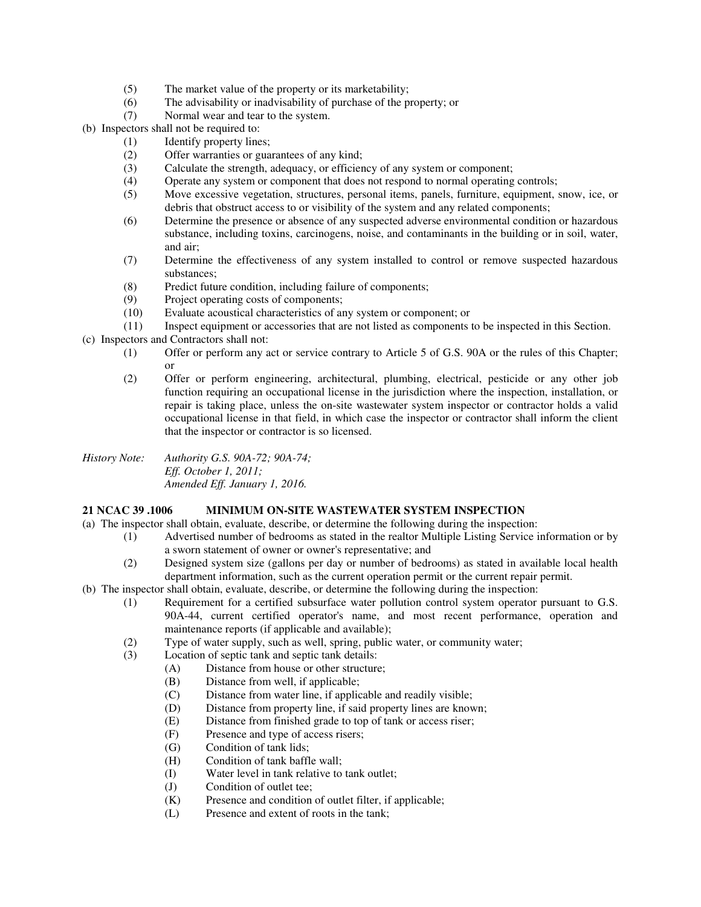- (5) The market value of the property or its marketability;<br>(6) The advisability or inadvisability of purchase of the p
- The advisability or inadvisability of purchase of the property; or
- (7) Normal wear and tear to the system.
- (b) Inspectors shall not be required to:
	- (1) Identify property lines;
	- (2) Offer warranties or guarantees of any kind;
	- (3) Calculate the strength, adequacy, or efficiency of any system or component;
	- (4) Operate any system or component that does not respond to normal operating controls;
	- (5) Move excessive vegetation, structures, personal items, panels, furniture, equipment, snow, ice, or debris that obstruct access to or visibility of the system and any related components;
	- (6) Determine the presence or absence of any suspected adverse environmental condition or hazardous substance, including toxins, carcinogens, noise, and contaminants in the building or in soil, water, and air;
	- (7) Determine the effectiveness of any system installed to control or remove suspected hazardous substances;
	- (8) Predict future condition, including failure of components;
	- (9) Project operating costs of components;
	- (10) Evaluate acoustical characteristics of any system or component; or
	- (11) Inspect equipment or accessories that are not listed as components to be inspected in this Section.
- (c) Inspectors and Contractors shall not:
	- (1) Offer or perform any act or service contrary to Article 5 of G.S. 90A or the rules of this Chapter; or
	- (2) Offer or perform engineering, architectural, plumbing, electrical, pesticide or any other job function requiring an occupational license in the jurisdiction where the inspection, installation, or repair is taking place, unless the on-site wastewater system inspector or contractor holds a valid occupational license in that field, in which case the inspector or contractor shall inform the client that the inspector or contractor is so licensed.

*History Note: Authority G.S. 90A-72; 90A-74; Eff. October 1, 2011; Amended Eff. January 1, 2016.* 

## **21 NCAC 39 .1006 MINIMUM ON-SITE WASTEWATER SYSTEM INSPECTION**

- (a) The inspector shall obtain, evaluate, describe, or determine the following during the inspection:
	- (1) Advertised number of bedrooms as stated in the realtor Multiple Listing Service information or by a sworn statement of owner or owner's representative; and
		- (2) Designed system size (gallons per day or number of bedrooms) as stated in available local health department information, such as the current operation permit or the current repair permit.
- (b) The inspector shall obtain, evaluate, describe, or determine the following during the inspection:
	- (1) Requirement for a certified subsurface water pollution control system operator pursuant to G.S. 90A-44, current certified operator's name, and most recent performance, operation and maintenance reports (if applicable and available);
	- (2) Type of water supply, such as well, spring, public water, or community water;
	- (3) Location of septic tank and septic tank details:
		- (A) Distance from house or other structure;
			- (B) Distance from well, if applicable;
			- (C) Distance from water line, if applicable and readily visible;
			- (D) Distance from property line, if said property lines are known;
			- (E) Distance from finished grade to top of tank or access riser;
			- (F) Presence and type of access risers;
			- (G) Condition of tank lids;
			- (H) Condition of tank baffle wall;
			- (I) Water level in tank relative to tank outlet;
			- (J) Condition of outlet tee;
			- (K) Presence and condition of outlet filter, if applicable;
			- (L) Presence and extent of roots in the tank;